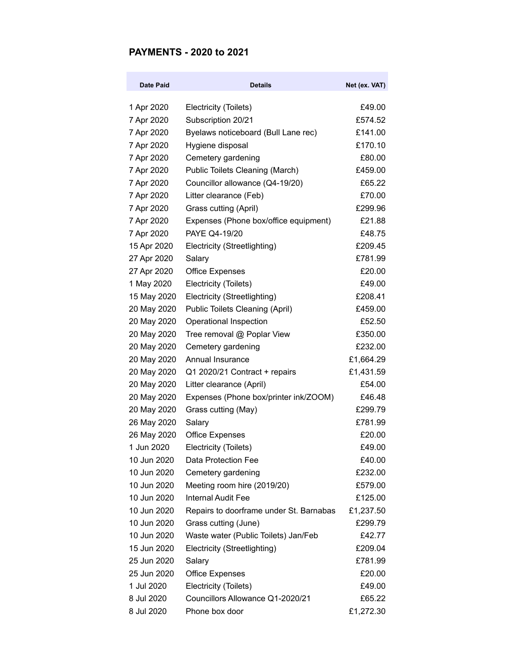## **PAYMENTS - 2020 to 2021**

| Date Paid   | <b>Details</b>                          | Net (ex. VAT) |
|-------------|-----------------------------------------|---------------|
| 1 Apr 2020  | Electricity (Toilets)                   | £49.00        |
| 7 Apr 2020  | Subscription 20/21                      | £574.52       |
| 7 Apr 2020  | Byelaws noticeboard (Bull Lane rec)     | £141.00       |
| 7 Apr 2020  | Hygiene disposal                        | £170.10       |
| 7 Apr 2020  | Cemetery gardening                      | £80.00        |
| 7 Apr 2020  | Public Toilets Cleaning (March)         | £459.00       |
| 7 Apr 2020  | Councillor allowance (Q4-19/20)         | £65.22        |
| 7 Apr 2020  | Litter clearance (Feb)                  | £70.00        |
| 7 Apr 2020  | Grass cutting (April)                   | £299.96       |
| 7 Apr 2020  | Expenses (Phone box/office equipment)   | £21.88        |
| 7 Apr 2020  | PAYE Q4-19/20                           | £48.75        |
| 15 Apr 2020 | Electricity (Streetlighting)            | £209.45       |
| 27 Apr 2020 | Salary                                  | £781.99       |
| 27 Apr 2020 | <b>Office Expenses</b>                  | £20.00        |
| 1 May 2020  | Electricity (Toilets)                   | £49.00        |
| 15 May 2020 | Electricity (Streetlighting)            | £208.41       |
| 20 May 2020 | <b>Public Toilets Cleaning (April)</b>  | £459.00       |
| 20 May 2020 | Operational Inspection                  | £52.50        |
| 20 May 2020 | Tree removal @ Poplar View              | £350.00       |
| 20 May 2020 | Cemetery gardening                      | £232.00       |
| 20 May 2020 | Annual Insurance                        | £1,664.29     |
| 20 May 2020 | Q1 2020/21 Contract + repairs           | £1,431.59     |
| 20 May 2020 | Litter clearance (April)                | £54.00        |
| 20 May 2020 | Expenses (Phone box/printer ink/ZOOM)   | £46.48        |
| 20 May 2020 | Grass cutting (May)                     | £299.79       |
| 26 May 2020 | Salary                                  | £781.99       |
| 26 May 2020 | <b>Office Expenses</b>                  | £20.00        |
| 1 Jun 2020  | Electricity (Toilets)                   | £49.00        |
| 10 Jun 2020 | Data Protection Fee                     | £40.00        |
| 10 Jun 2020 | Cemetery gardening                      | £232.00       |
| 10 Jun 2020 | Meeting room hire (2019/20)             | £579.00       |
| 10 Jun 2020 | <b>Internal Audit Fee</b>               | £125.00       |
| 10 Jun 2020 | Repairs to doorframe under St. Barnabas | £1,237.50     |
| 10 Jun 2020 | Grass cutting (June)                    | £299.79       |
| 10 Jun 2020 | Waste water (Public Toilets) Jan/Feb    | £42.77        |
| 15 Jun 2020 | Electricity (Streetlighting)            | £209.04       |
| 25 Jun 2020 | Salary                                  | £781.99       |
| 25 Jun 2020 | <b>Office Expenses</b>                  | £20.00        |
| 1 Jul 2020  | Electricity (Toilets)                   | £49.00        |
| 8 Jul 2020  | Councillors Allowance Q1-2020/21        | £65.22        |
| 8 Jul 2020  | Phone box door                          | £1,272.30     |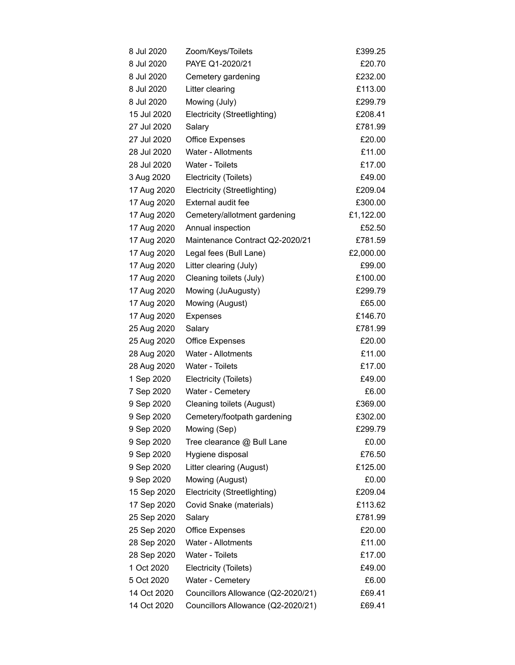| 8 Jul 2020  | Zoom/Keys/Toilets                  | £399.25   |
|-------------|------------------------------------|-----------|
| 8 Jul 2020  | PAYE Q1-2020/21                    | £20.70    |
| 8 Jul 2020  | Cemetery gardening                 | £232.00   |
| 8 Jul 2020  | Litter clearing                    | £113.00   |
| 8 Jul 2020  | Mowing (July)                      | £299.79   |
| 15 Jul 2020 | Electricity (Streetlighting)       | £208.41   |
| 27 Jul 2020 | Salary                             | £781.99   |
| 27 Jul 2020 | <b>Office Expenses</b>             | £20.00    |
| 28 Jul 2020 | Water - Allotments                 | £11.00    |
| 28 Jul 2020 | Water - Toilets                    | £17.00    |
| 3 Aug 2020  | Electricity (Toilets)              | £49.00    |
| 17 Aug 2020 | Electricity (Streetlighting)       | £209.04   |
| 17 Aug 2020 | External audit fee                 | £300.00   |
| 17 Aug 2020 | Cemetery/allotment gardening       | £1,122.00 |
| 17 Aug 2020 | Annual inspection                  | £52.50    |
| 17 Aug 2020 | Maintenance Contract Q2-2020/21    | £781.59   |
| 17 Aug 2020 | Legal fees (Bull Lane)             | £2,000.00 |
| 17 Aug 2020 | Litter clearing (July)             | £99.00    |
| 17 Aug 2020 | Cleaning toilets (July)            | £100.00   |
| 17 Aug 2020 | Mowing (JuAugusty)                 | £299.79   |
| 17 Aug 2020 | Mowing (August)                    | £65.00    |
| 17 Aug 2020 | Expenses                           | £146.70   |
| 25 Aug 2020 | Salary                             | £781.99   |
| 25 Aug 2020 | <b>Office Expenses</b>             | £20.00    |
| 28 Aug 2020 | Water - Allotments                 | £11.00    |
| 28 Aug 2020 | <b>Water - Toilets</b>             | £17.00    |
| 1 Sep 2020  | Electricity (Toilets)              | £49.00    |
| 7 Sep 2020  | Water - Cemetery                   | £6.00     |
| 9 Sep 2020  | Cleaning toilets (August)          | £369.00   |
| 9 Sep 2020  | Cemetery/footpath gardening        | £302.00   |
| 9 Sep 2020  | Mowing (Sep)                       | £299.79   |
| 9 Sep 2020  | Tree clearance @ Bull Lane         | £0.00     |
| 9 Sep 2020  | Hygiene disposal                   | £76.50    |
| 9 Sep 2020  | Litter clearing (August)           | £125.00   |
| 9 Sep 2020  | Mowing (August)                    | £0.00     |
| 15 Sep 2020 | Electricity (Streetlighting)       | £209.04   |
| 17 Sep 2020 | Covid Snake (materials)            | £113.62   |
| 25 Sep 2020 | Salary                             | £781.99   |
| 25 Sep 2020 | <b>Office Expenses</b>             | £20.00    |
| 28 Sep 2020 | Water - Allotments                 | £11.00    |
| 28 Sep 2020 | Water - Toilets                    | £17.00    |
| 1 Oct 2020  | Electricity (Toilets)              | £49.00    |
| 5 Oct 2020  | Water - Cemetery                   | £6.00     |
| 14 Oct 2020 | Councillors Allowance (Q2-2020/21) | £69.41    |
| 14 Oct 2020 | Councillors Allowance (Q2-2020/21) | £69.41    |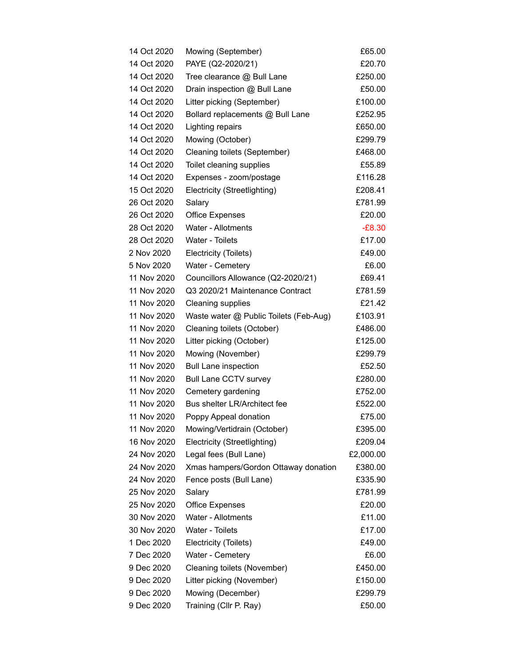| 14 Oct 2020 | Mowing (September)                     | £65.00    |
|-------------|----------------------------------------|-----------|
| 14 Oct 2020 | PAYE (Q2-2020/21)                      | £20.70    |
| 14 Oct 2020 | Tree clearance @ Bull Lane             | £250.00   |
| 14 Oct 2020 | Drain inspection @ Bull Lane           | £50.00    |
| 14 Oct 2020 | Litter picking (September)             | £100.00   |
| 14 Oct 2020 | Bollard replacements @ Bull Lane       | £252.95   |
| 14 Oct 2020 | Lighting repairs                       | £650.00   |
| 14 Oct 2020 | Mowing (October)                       | £299.79   |
| 14 Oct 2020 | Cleaning toilets (September)           | £468.00   |
| 14 Oct 2020 | Toilet cleaning supplies               | £55.89    |
| 14 Oct 2020 | Expenses - zoom/postage                | £116.28   |
| 15 Oct 2020 | Electricity (Streetlighting)           | £208.41   |
| 26 Oct 2020 | Salary                                 | £781.99   |
| 26 Oct 2020 | <b>Office Expenses</b>                 | £20.00    |
| 28 Oct 2020 | Water - Allotments                     | $-E8.30$  |
| 28 Oct 2020 | Water - Toilets                        | £17.00    |
| 2 Nov 2020  | Electricity (Toilets)                  | £49.00    |
| 5 Nov 2020  | Water - Cemetery                       | £6.00     |
| 11 Nov 2020 | Councillors Allowance (Q2-2020/21)     | £69.41    |
| 11 Nov 2020 | Q3 2020/21 Maintenance Contract        | £781.59   |
| 11 Nov 2020 | <b>Cleaning supplies</b>               | £21.42    |
| 11 Nov 2020 | Waste water @ Public Toilets (Feb-Aug) | £103.91   |
| 11 Nov 2020 | Cleaning toilets (October)             | £486.00   |
| 11 Nov 2020 | Litter picking (October)               | £125.00   |
| 11 Nov 2020 | Mowing (November)                      | £299.79   |
| 11 Nov 2020 | <b>Bull Lane inspection</b>            | £52.50    |
| 11 Nov 2020 | <b>Bull Lane CCTV survey</b>           | £280.00   |
| 11 Nov 2020 | Cemetery gardening                     | £752.00   |
| 11 Nov 2020 | Bus shelter LR/Architect fee           | £522.00   |
| 11 Nov 2020 | Poppy Appeal donation                  | £75.00    |
| 11 Nov 2020 | Mowing/Vertidrain (October)            | £395.00   |
| 16 Nov 2020 | Electricity (Streetlighting)           | £209.04   |
| 24 Nov 2020 | Legal fees (Bull Lane)                 | £2,000.00 |
| 24 Nov 2020 | Xmas hampers/Gordon Ottaway donation   | £380.00   |
| 24 Nov 2020 | Fence posts (Bull Lane)                | £335.90   |
| 25 Nov 2020 | Salary                                 | £781.99   |
| 25 Nov 2020 | <b>Office Expenses</b>                 | £20.00    |
| 30 Nov 2020 | Water - Allotments                     | £11.00    |
| 30 Nov 2020 | Water - Toilets                        | £17.00    |
| 1 Dec 2020  | Electricity (Toilets)                  | £49.00    |
| 7 Dec 2020  | Water - Cemetery                       | £6.00     |
| 9 Dec 2020  | Cleaning toilets (November)            | £450.00   |
| 9 Dec 2020  | Litter picking (November)              | £150.00   |
| 9 Dec 2020  | Mowing (December)                      | £299.79   |
| 9 Dec 2020  | Training (Cllr P. Ray)                 | £50.00    |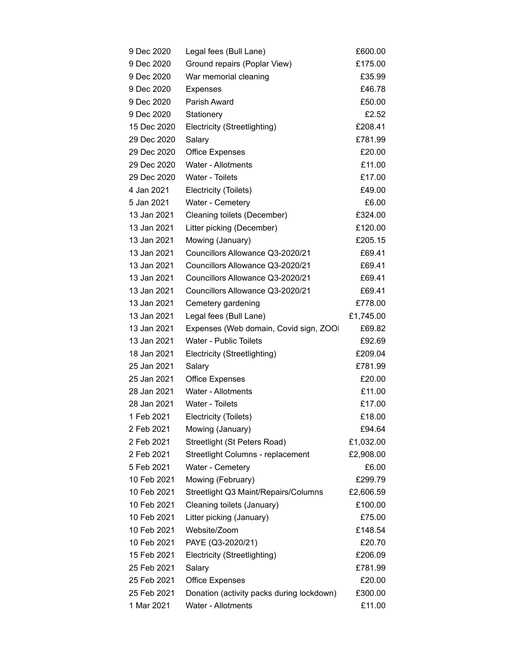| 9 Dec 2020  | Legal fees (Bull Lane)                    | £600.00   |
|-------------|-------------------------------------------|-----------|
| 9 Dec 2020  | Ground repairs (Poplar View)              | £175.00   |
| 9 Dec 2020  | War memorial cleaning                     | £35.99    |
| 9 Dec 2020  | Expenses                                  | £46.78    |
| 9 Dec 2020  | Parish Award                              | £50.00    |
| 9 Dec 2020  | Stationery                                | £2.52     |
| 15 Dec 2020 | Electricity (Streetlighting)              | £208.41   |
| 29 Dec 2020 | Salary                                    | £781.99   |
| 29 Dec 2020 | <b>Office Expenses</b>                    | £20.00    |
| 29 Dec 2020 | Water - Allotments                        | £11.00    |
| 29 Dec 2020 | Water - Toilets                           | £17.00    |
| 4 Jan 2021  | Electricity (Toilets)                     | £49.00    |
| 5 Jan 2021  | Water - Cemetery                          | £6.00     |
| 13 Jan 2021 | Cleaning toilets (December)               | £324.00   |
| 13 Jan 2021 | Litter picking (December)                 | £120.00   |
| 13 Jan 2021 | Mowing (January)                          | £205.15   |
| 13 Jan 2021 | Councillors Allowance Q3-2020/21          | £69.41    |
| 13 Jan 2021 | Councillors Allowance Q3-2020/21          | £69.41    |
| 13 Jan 2021 | Councillors Allowance Q3-2020/21          | £69.41    |
| 13 Jan 2021 | Councillors Allowance Q3-2020/21          | £69.41    |
| 13 Jan 2021 | Cemetery gardening                        | £778.00   |
| 13 Jan 2021 | Legal fees (Bull Lane)                    | £1,745.00 |
| 13 Jan 2021 | Expenses (Web domain, Covid sign, ZOO     | £69.82    |
| 13 Jan 2021 | <b>Water - Public Toilets</b>             | £92.69    |
| 18 Jan 2021 | Electricity (Streetlighting)              | £209.04   |
| 25 Jan 2021 | Salary                                    | £781.99   |
| 25 Jan 2021 | <b>Office Expenses</b>                    | £20.00    |
| 28 Jan 2021 | <b>Water - Allotments</b>                 | £11.00    |
| 28 Jan 2021 | Water - Toilets                           | £17.00    |
| 1 Feb 2021  | Electricity (Toilets)                     | £18.00    |
| 2 Feb 2021  | Mowing (January)                          | £94.64    |
| 2 Feb 2021  | Streetlight (St Peters Road)              | £1,032.00 |
| 2 Feb 2021  | Streetlight Columns - replacement         | £2,908.00 |
| 5 Feb 2021  | Water - Cemetery                          | £6.00     |
| 10 Feb 2021 | Mowing (February)                         | £299.79   |
| 10 Feb 2021 | Streetlight Q3 Maint/Repairs/Columns      | £2,606.59 |
| 10 Feb 2021 | Cleaning toilets (January)                | £100.00   |
| 10 Feb 2021 | Litter picking (January)                  | £75.00    |
| 10 Feb 2021 | Website/Zoom                              | £148.54   |
| 10 Feb 2021 | PAYE (Q3-2020/21)                         | £20.70    |
| 15 Feb 2021 | Electricity (Streetlighting)              | £206.09   |
| 25 Feb 2021 | Salary                                    | £781.99   |
| 25 Feb 2021 | <b>Office Expenses</b>                    | £20.00    |
| 25 Feb 2021 | Donation (activity packs during lockdown) | £300.00   |
| 1 Mar 2021  | Water - Allotments                        | £11.00    |